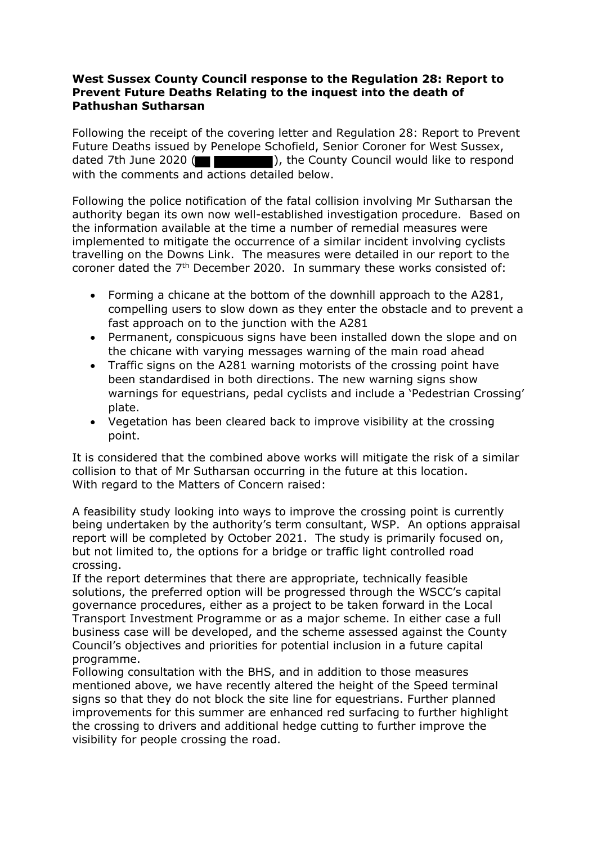## **West Sussex County Council response to the Regulation 28: Report to Prevent Future Deaths Relating to the inquest into the death of Pathushan Sutharsan**

Following the receipt of the covering letter and Regulation 28: Report to Prevent Future Deaths issued by Penelope Schofield, Senior Coroner for West Sussex, dated 7th June 2020 (  $\Box$  ), the County Council would like to respond with the comments and actions detailed below.

Following the police notification of the fatal collision involving Mr Sutharsan the authority began its own now well-established investigation procedure. Based on the information available at the time a number of remedial measures were implemented to mitigate the occurrence of a similar incident involving cyclists travelling on the Downs Link. The measures were detailed in our report to the coroner dated the 7<sup>th</sup> December 2020. In summary these works consisted of:

- Forming a chicane at the bottom of the downhill approach to the A281, compelling users to slow down as they enter the obstacle and to prevent a fast approach on to the junction with the A281
- Permanent, conspicuous signs have been installed down the slope and on the chicane with varying messages warning of the main road ahead
- Traffic signs on the A281 warning motorists of the crossing point have been standardised in both directions. The new warning signs show warnings for equestrians, pedal cyclists and include a 'Pedestrian Crossing' plate.
- Vegetation has been cleared back to improve visibility at the crossing point.

It is considered that the combined above works will mitigate the risk of a similar collision to that of Mr Sutharsan occurring in the future at this location. With regard to the Matters of Concern raised:

A feasibility study looking into ways to improve the crossing point is currently being undertaken by the authority's term consultant, WSP. An options appraisal report will be completed by October 2021. The study is primarily focused on, but not limited to, the options for a bridge or traffic light controlled road crossing.

If the report determines that there are appropriate, technically feasible solutions, the preferred option will be progressed through the WSCC's capital governance procedures, either as a project to be taken forward in the Local Transport Investment Programme or as a major scheme. In either case a full business case will be developed, and the scheme assessed against the County Council's objectives and priorities for potential inclusion in a future capital programme.

Following consultation with the BHS, and in addition to those measures mentioned above, we have recently altered the height of the Speed terminal signs so that they do not block the site line for equestrians. Further planned improvements for this summer are enhanced red surfacing to further highlight the crossing to drivers and additional hedge cutting to further improve the visibility for people crossing the road.